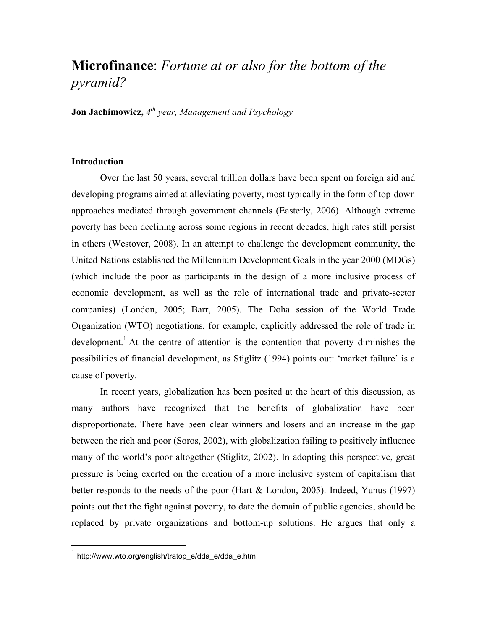# **Microfinance**: *Fortune at or also for the bottom of the pyramid?*

**Jon Jachimowicz,** *4th year, Management and Psychology* 

## **Introduction**

Over the last 50 years, several trillion dollars have been spent on foreign aid and developing programs aimed at alleviating poverty, most typically in the form of top-down approaches mediated through government channels (Easterly, 2006). Although extreme poverty has been declining across some regions in recent decades, high rates still persist in others (Westover, 2008). In an attempt to challenge the development community, the United Nations established the Millennium Development Goals in the year 2000 (MDGs) (which include the poor as participants in the design of a more inclusive process of economic development, as well as the role of international trade and private-sector companies) (London, 2005; Barr, 2005). The Doha session of the World Trade Organization (WTO) negotiations, for example, explicitly addressed the role of trade in development.<sup>1</sup> At the centre of attention is the contention that poverty diminishes the possibilities of financial development, as Stiglitz (1994) points out: 'market failure' is a cause of poverty.

In recent years, globalization has been posited at the heart of this discussion, as many authors have recognized that the benefits of globalization have been disproportionate. There have been clear winners and losers and an increase in the gap between the rich and poor (Soros, 2002), with globalization failing to positively influence many of the world's poor altogether (Stiglitz, 2002). In adopting this perspective, great pressure is being exerted on the creation of a more inclusive system of capitalism that better responds to the needs of the poor (Hart & London, 2005). Indeed, Yunus (1997) points out that the fight against poverty, to date the domain of public agencies, should be replaced by private organizations and bottom-up solutions. He argues that only a

http://www.wto.org/english/tratop\_e/dda\_e/dda\_e.htm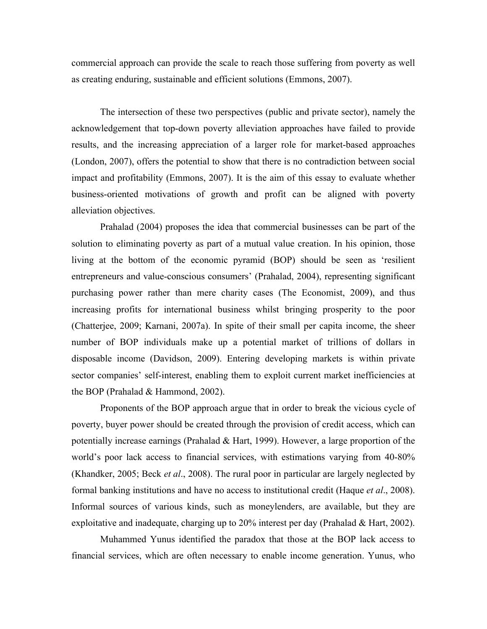commercial approach can provide the scale to reach those suffering from poverty as well as creating enduring, sustainable and efficient solutions (Emmons, 2007).

The intersection of these two perspectives (public and private sector), namely the acknowledgement that top-down poverty alleviation approaches have failed to provide results, and the increasing appreciation of a larger role for market-based approaches (London, 2007), offers the potential to show that there is no contradiction between social impact and profitability (Emmons, 2007). It is the aim of this essay to evaluate whether business-oriented motivations of growth and profit can be aligned with poverty alleviation objectives.

Prahalad (2004) proposes the idea that commercial businesses can be part of the solution to eliminating poverty as part of a mutual value creation. In his opinion, those living at the bottom of the economic pyramid (BOP) should be seen as 'resilient entrepreneurs and value-conscious consumers' (Prahalad, 2004), representing significant purchasing power rather than mere charity cases (The Economist, 2009), and thus increasing profits for international business whilst bringing prosperity to the poor (Chatterjee, 2009; Karnani, 2007a). In spite of their small per capita income, the sheer number of BOP individuals make up a potential market of trillions of dollars in disposable income (Davidson, 2009). Entering developing markets is within private sector companies' self-interest, enabling them to exploit current market inefficiencies at the BOP (Prahalad & Hammond, 2002).

Proponents of the BOP approach argue that in order to break the vicious cycle of poverty, buyer power should be created through the provision of credit access, which can potentially increase earnings (Prahalad & Hart, 1999). However, a large proportion of the world's poor lack access to financial services, with estimations varying from 40-80% (Khandker, 2005; Beck *et al*., 2008). The rural poor in particular are largely neglected by formal banking institutions and have no access to institutional credit (Haque *et al*., 2008). Informal sources of various kinds, such as moneylenders, are available, but they are exploitative and inadequate, charging up to 20% interest per day (Prahalad & Hart, 2002).

Muhammed Yunus identified the paradox that those at the BOP lack access to financial services, which are often necessary to enable income generation. Yunus, who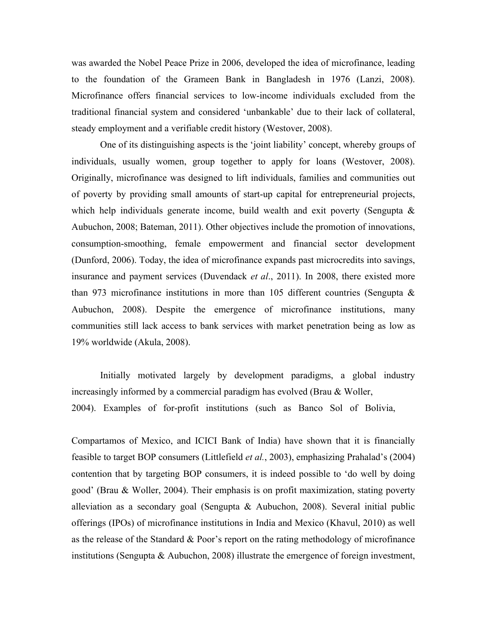was awarded the Nobel Peace Prize in 2006, developed the idea of microfinance, leading to the foundation of the Grameen Bank in Bangladesh in 1976 (Lanzi, 2008). Microfinance offers financial services to low-income individuals excluded from the traditional financial system and considered 'unbankable' due to their lack of collateral, steady employment and a verifiable credit history (Westover, 2008).

One of its distinguishing aspects is the 'joint liability' concept, whereby groups of individuals, usually women, group together to apply for loans (Westover, 2008). Originally, microfinance was designed to lift individuals, families and communities out of poverty by providing small amounts of start-up capital for entrepreneurial projects, which help individuals generate income, build wealth and exit poverty (Sengupta & Aubuchon, 2008; Bateman, 2011). Other objectives include the promotion of innovations, consumption-smoothing, female empowerment and financial sector development (Dunford, 2006). Today, the idea of microfinance expands past microcredits into savings, insurance and payment services (Duvendack *et al*., 2011). In 2008, there existed more than 973 microfinance institutions in more than 105 different countries (Sengupta & Aubuchon, 2008). Despite the emergence of microfinance institutions, many communities still lack access to bank services with market penetration being as low as 19% worldwide (Akula, 2008).

Initially motivated largely by development paradigms, a global industry increasingly informed by a commercial paradigm has evolved (Brau & Woller, 2004). Examples of for-profit institutions (such as Banco Sol of Bolivia,

Compartamos of Mexico, and ICICI Bank of India) have shown that it is financially feasible to target BOP consumers (Littlefield *et al.*, 2003), emphasizing Prahalad's (2004) contention that by targeting BOP consumers, it is indeed possible to 'do well by doing good' (Brau & Woller, 2004). Their emphasis is on profit maximization, stating poverty alleviation as a secondary goal (Sengupta & Aubuchon, 2008). Several initial public offerings (IPOs) of microfinance institutions in India and Mexico (Khavul, 2010) as well as the release of the Standard & Poor's report on the rating methodology of microfinance institutions (Sengupta & Aubuchon, 2008) illustrate the emergence of foreign investment,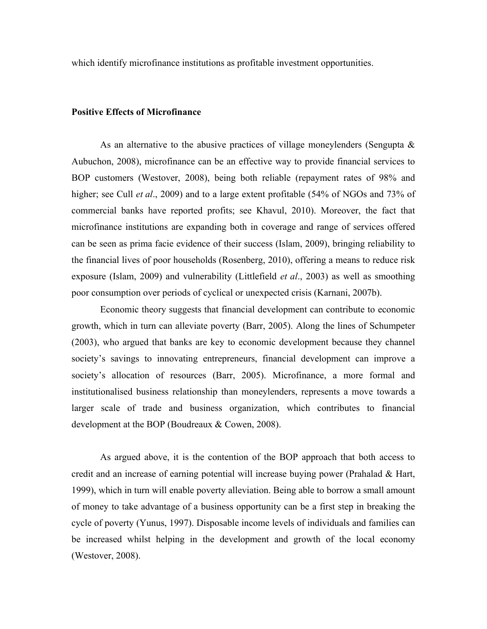which identify microfinance institutions as profitable investment opportunities.

#### **Positive Effects of Microfinance**

As an alternative to the abusive practices of village moneylenders (Sengupta  $\&$ Aubuchon, 2008), microfinance can be an effective way to provide financial services to BOP customers (Westover, 2008), being both reliable (repayment rates of 98% and higher; see Cull *et al.*, 2009) and to a large extent profitable (54% of NGOs and 73% of commercial banks have reported profits; see Khavul, 2010). Moreover, the fact that microfinance institutions are expanding both in coverage and range of services offered can be seen as prima facie evidence of their success (Islam, 2009), bringing reliability to the financial lives of poor households (Rosenberg, 2010), offering a means to reduce risk exposure (Islam, 2009) and vulnerability (Littlefield *et al*., 2003) as well as smoothing poor consumption over periods of cyclical or unexpected crisis (Karnani, 2007b).

Economic theory suggests that financial development can contribute to economic growth, which in turn can alleviate poverty (Barr, 2005). Along the lines of Schumpeter (2003), who argued that banks are key to economic development because they channel society's savings to innovating entrepreneurs, financial development can improve a society's allocation of resources (Barr, 2005). Microfinance, a more formal and institutionalised business relationship than moneylenders, represents a move towards a larger scale of trade and business organization, which contributes to financial development at the BOP (Boudreaux & Cowen, 2008).

As argued above, it is the contention of the BOP approach that both access to credit and an increase of earning potential will increase buying power (Prahalad & Hart, 1999), which in turn will enable poverty alleviation. Being able to borrow a small amount of money to take advantage of a business opportunity can be a first step in breaking the cycle of poverty (Yunus, 1997). Disposable income levels of individuals and families can be increased whilst helping in the development and growth of the local economy (Westover, 2008).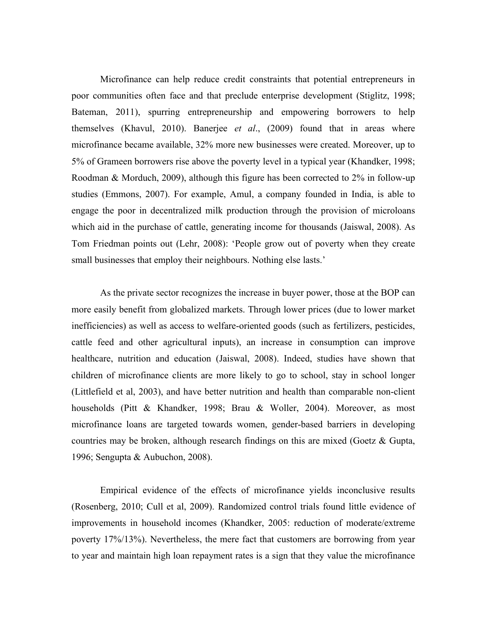Microfinance can help reduce credit constraints that potential entrepreneurs in poor communities often face and that preclude enterprise development (Stiglitz, 1998; Bateman, 2011), spurring entrepreneurship and empowering borrowers to help themselves (Khavul, 2010). Banerjee *et al*., (2009) found that in areas where microfinance became available, 32% more new businesses were created. Moreover, up to 5% of Grameen borrowers rise above the poverty level in a typical year (Khandker, 1998; Roodman & Morduch, 2009), although this figure has been corrected to 2% in follow-up studies (Emmons, 2007). For example, Amul, a company founded in India, is able to engage the poor in decentralized milk production through the provision of microloans which aid in the purchase of cattle, generating income for thousands (Jaiswal, 2008). As Tom Friedman points out (Lehr, 2008): 'People grow out of poverty when they create small businesses that employ their neighbours. Nothing else lasts.'

As the private sector recognizes the increase in buyer power, those at the BOP can more easily benefit from globalized markets. Through lower prices (due to lower market inefficiencies) as well as access to welfare-oriented goods (such as fertilizers, pesticides, cattle feed and other agricultural inputs), an increase in consumption can improve healthcare, nutrition and education (Jaiswal, 2008). Indeed, studies have shown that children of microfinance clients are more likely to go to school, stay in school longer (Littlefield et al, 2003), and have better nutrition and health than comparable non-client households (Pitt & Khandker, 1998; Brau & Woller, 2004). Moreover, as most microfinance loans are targeted towards women, gender-based barriers in developing countries may be broken, although research findings on this are mixed (Goetz & Gupta, 1996; Sengupta & Aubuchon, 2008).

Empirical evidence of the effects of microfinance yields inconclusive results (Rosenberg, 2010; Cull et al, 2009). Randomized control trials found little evidence of improvements in household incomes (Khandker, 2005: reduction of moderate/extreme poverty 17%/13%). Nevertheless, the mere fact that customers are borrowing from year to year and maintain high loan repayment rates is a sign that they value the microfinance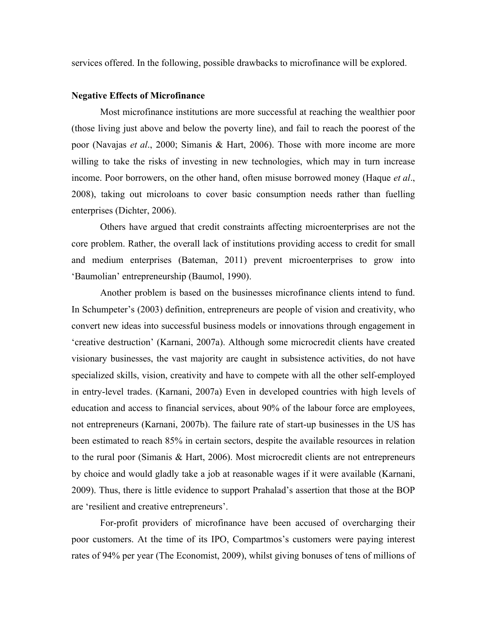services offered. In the following, possible drawbacks to microfinance will be explored.

#### **Negative Effects of Microfinance**

Most microfinance institutions are more successful at reaching the wealthier poor (those living just above and below the poverty line), and fail to reach the poorest of the poor (Navajas *et al*., 2000; Simanis & Hart, 2006). Those with more income are more willing to take the risks of investing in new technologies, which may in turn increase income. Poor borrowers, on the other hand, often misuse borrowed money (Haque *et al*., 2008), taking out microloans to cover basic consumption needs rather than fuelling enterprises (Dichter, 2006).

Others have argued that credit constraints affecting microenterprises are not the core problem. Rather, the overall lack of institutions providing access to credit for small and medium enterprises (Bateman, 2011) prevent microenterprises to grow into 'Baumolian' entrepreneurship (Baumol, 1990).

Another problem is based on the businesses microfinance clients intend to fund. In Schumpeter's (2003) definition, entrepreneurs are people of vision and creativity, who convert new ideas into successful business models or innovations through engagement in 'creative destruction' (Karnani, 2007a). Although some microcredit clients have created visionary businesses, the vast majority are caught in subsistence activities, do not have specialized skills, vision, creativity and have to compete with all the other self-employed in entry-level trades. (Karnani, 2007a) Even in developed countries with high levels of education and access to financial services, about 90% of the labour force are employees, not entrepreneurs (Karnani, 2007b). The failure rate of start-up businesses in the US has been estimated to reach 85% in certain sectors, despite the available resources in relation to the rural poor (Simanis & Hart, 2006). Most microcredit clients are not entrepreneurs by choice and would gladly take a job at reasonable wages if it were available (Karnani, 2009). Thus, there is little evidence to support Prahalad's assertion that those at the BOP are 'resilient and creative entrepreneurs'.

For-profit providers of microfinance have been accused of overcharging their poor customers. At the time of its IPO, Compartmos's customers were paying interest rates of 94% per year (The Economist, 2009), whilst giving bonuses of tens of millions of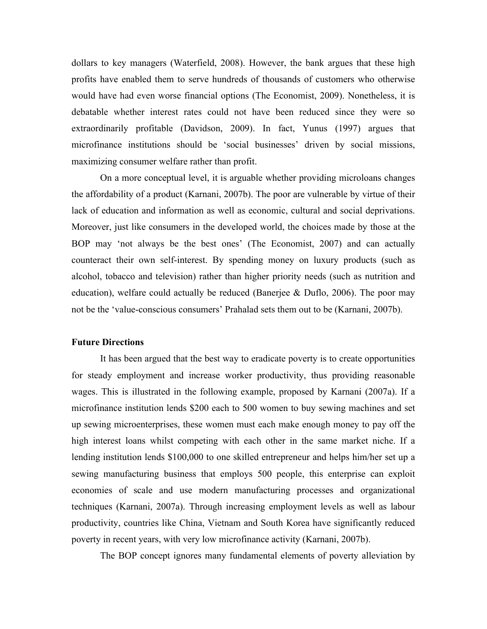dollars to key managers (Waterfield, 2008). However, the bank argues that these high profits have enabled them to serve hundreds of thousands of customers who otherwise would have had even worse financial options (The Economist, 2009). Nonetheless, it is debatable whether interest rates could not have been reduced since they were so extraordinarily profitable (Davidson, 2009). In fact, Yunus (1997) argues that microfinance institutions should be 'social businesses' driven by social missions, maximizing consumer welfare rather than profit.

On a more conceptual level, it is arguable whether providing microloans changes the affordability of a product (Karnani, 2007b). The poor are vulnerable by virtue of their lack of education and information as well as economic, cultural and social deprivations. Moreover, just like consumers in the developed world, the choices made by those at the BOP may 'not always be the best ones' (The Economist, 2007) and can actually counteract their own self-interest. By spending money on luxury products (such as alcohol, tobacco and television) rather than higher priority needs (such as nutrition and education), welfare could actually be reduced (Banerjee & Duflo, 2006). The poor may not be the 'value-conscious consumers' Prahalad sets them out to be (Karnani, 2007b).

### **Future Directions**

It has been argued that the best way to eradicate poverty is to create opportunities for steady employment and increase worker productivity, thus providing reasonable wages. This is illustrated in the following example, proposed by Karnani (2007a). If a microfinance institution lends \$200 each to 500 women to buy sewing machines and set up sewing microenterprises, these women must each make enough money to pay off the high interest loans whilst competing with each other in the same market niche. If a lending institution lends \$100,000 to one skilled entrepreneur and helps him/her set up a sewing manufacturing business that employs 500 people, this enterprise can exploit economies of scale and use modern manufacturing processes and organizational techniques (Karnani, 2007a). Through increasing employment levels as well as labour productivity, countries like China, Vietnam and South Korea have significantly reduced poverty in recent years, with very low microfinance activity (Karnani, 2007b).

The BOP concept ignores many fundamental elements of poverty alleviation by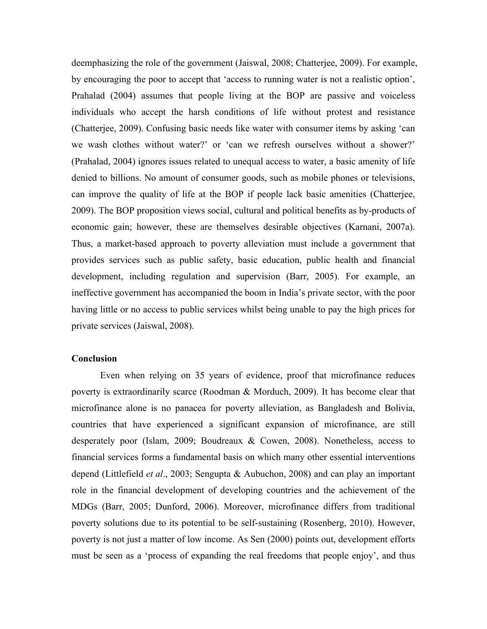deemphasizing the role of the government (Jaiswal, 2008; Chatterjee, 2009). For example, by encouraging the poor to accept that 'access to running water is not a realistic option', Prahalad (2004) assumes that people living at the BOP are passive and voiceless individuals who accept the harsh conditions of life without protest and resistance (Chatterjee, 2009). Confusing basic needs like water with consumer items by asking 'can we wash clothes without water?' or 'can we refresh ourselves without a shower?' (Prahalad, 2004) ignores issues related to unequal access to water, a basic amenity of life denied to billions. No amount of consumer goods, such as mobile phones or televisions, can improve the quality of life at the BOP if people lack basic amenities (Chatterjee, 2009). The BOP proposition views social, cultural and political benefits as by-products of economic gain; however, these are themselves desirable objectives (Karnani, 2007a). Thus, a market-based approach to poverty alleviation must include a government that provides services such as public safety, basic education, public health and financial development, including regulation and supervision (Barr, 2005). For example, an ineffective government has accompanied the boom in India's private sector, with the poor having little or no access to public services whilst being unable to pay the high prices for private services (Jaiswal, 2008).

## **Conclusion**

Even when relying on 35 years of evidence, proof that microfinance reduces poverty is extraordinarily scarce (Roodman & Morduch, 2009). It has become clear that microfinance alone is no panacea for poverty alleviation, as Bangladesh and Bolivia, countries that have experienced a significant expansion of microfinance, are still desperately poor (Islam, 2009; Boudreaux & Cowen, 2008). Nonetheless, access to financial services forms a fundamental basis on which many other essential interventions depend (Littlefield *et al*., 2003; Sengupta & Aubuchon, 2008) and can play an important role in the financial development of developing countries and the achievement of the MDGs (Barr, 2005; Dunford, 2006). Moreover, microfinance differs from traditional poverty solutions due to its potential to be self-sustaining (Rosenberg, 2010). However, poverty is not just a matter of low income. As Sen (2000) points out, development efforts must be seen as a 'process of expanding the real freedoms that people enjoy', and thus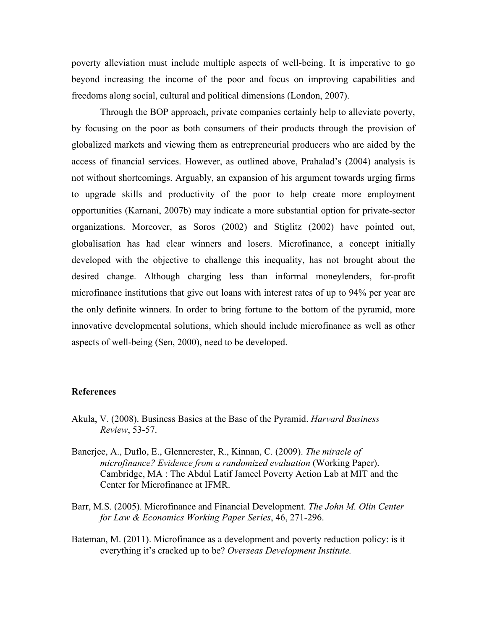poverty alleviation must include multiple aspects of well-being. It is imperative to go beyond increasing the income of the poor and focus on improving capabilities and freedoms along social, cultural and political dimensions (London, 2007).

Through the BOP approach, private companies certainly help to alleviate poverty, by focusing on the poor as both consumers of their products through the provision of globalized markets and viewing them as entrepreneurial producers who are aided by the access of financial services. However, as outlined above, Prahalad's (2004) analysis is not without shortcomings. Arguably, an expansion of his argument towards urging firms to upgrade skills and productivity of the poor to help create more employment opportunities (Karnani, 2007b) may indicate a more substantial option for private-sector organizations. Moreover, as Soros (2002) and Stiglitz (2002) have pointed out, globalisation has had clear winners and losers. Microfinance, a concept initially developed with the objective to challenge this inequality, has not brought about the desired change. Although charging less than informal moneylenders, for-profit microfinance institutions that give out loans with interest rates of up to 94% per year are the only definite winners. In order to bring fortune to the bottom of the pyramid, more innovative developmental solutions, which should include microfinance as well as other aspects of well-being (Sen, 2000), need to be developed.

#### **References**

- Akula, V. (2008). Business Basics at the Base of the Pyramid. *Harvard Business Review*, 53-57.
- Banerjee, A., Duflo, E., Glennerester, R., Kinnan, C. (2009). *The miracle of microfinance? Evidence from a randomized evaluation* (Working Paper). Cambridge, MA : The Abdul Latif Jameel Poverty Action Lab at MIT and the Center for Microfinance at IFMR.
- Barr, M.S. (2005). Microfinance and Financial Development. *The John M. Olin Center for Law & Economics Working Paper Series*, 46, 271-296.
- Bateman, M. (2011). Microfinance as a development and poverty reduction policy: is it everything it's cracked up to be? *Overseas Development Institute.*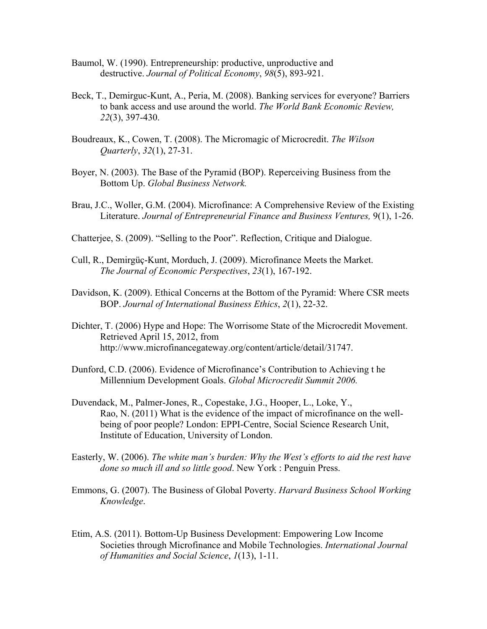- Baumol, W. (1990). Entrepreneurship: productive, unproductive and destructive. *Journal of Political Economy*, *98*(5), 893-921.
- Beck, T., Demirguc-Kunt, A., Peria, M. (2008). Banking services for everyone? Barriers to bank access and use around the world. *The World Bank Economic Review, 22*(3), 397-430.
- Boudreaux, K., Cowen, T. (2008). The Micromagic of Microcredit. *The Wilson Quarterly*, *32*(1), 27-31.
- Boyer, N. (2003). The Base of the Pyramid (BOP). Reperceiving Business from the Bottom Up. *Global Business Network.*
- Brau, J.C., Woller, G.M. (2004). Microfinance: A Comprehensive Review of the Existing Literature. *Journal of Entrepreneurial Finance and Business Ventures,* 9(1), 1-26.
- Chatterjee, S. (2009). "Selling to the Poor". Reflection, Critique and Dialogue.
- Cull, R., Demirgüç-Kunt, Morduch, J. (2009). Microfinance Meets the Market. *The Journal of Economic Perspectives*, *23*(1), 167-192.
- Davidson, K. (2009). Ethical Concerns at the Bottom of the Pyramid: Where CSR meets BOP. *Journal of International Business Ethics*, *2*(1), 22-32.
- Dichter, T. (2006) Hype and Hope: The Worrisome State of the Microcredit Movement. Retrieved April 15, 2012, from http://www.microfinancegateway.org/content/article/detail/31747.
- Dunford, C.D. (2006). Evidence of Microfinance's Contribution to Achieving t he Millennium Development Goals. *Global Microcredit Summit 2006.*
- Duvendack, M., Palmer-Jones, R., Copestake, J.G., Hooper, L., Loke, Y., Rao, N. (2011) What is the evidence of the impact of microfinance on the wellbeing of poor people? London: EPPI-Centre, Social Science Research Unit, Institute of Education, University of London.
- Easterly, W. (2006). *The white man's burden: Why the West's efforts to aid the rest have done so much ill and so little good*. New York : Penguin Press.
- Emmons, G. (2007). The Business of Global Poverty. *Harvard Business School Working Knowledge*.
- Etim, A.S. (2011). Bottom-Up Business Development: Empowering Low Income Societies through Microfinance and Mobile Technologies. *International Journal of Humanities and Social Science*, *1*(13), 1-11.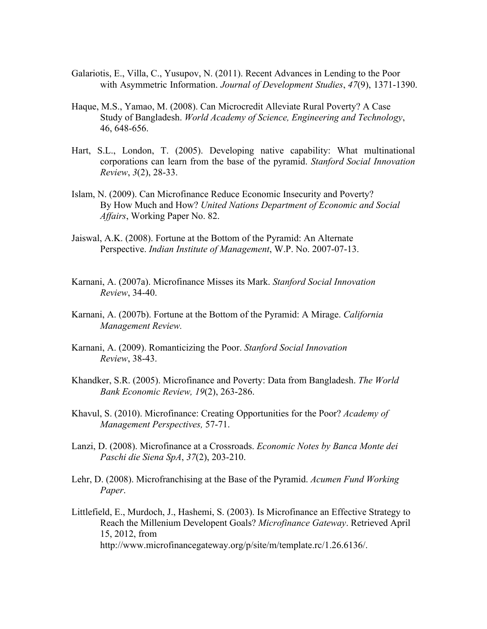- Galariotis, E., Villa, C., Yusupov, N. (2011). Recent Advances in Lending to the Poor with Asymmetric Information. *Journal of Development Studies*, *47*(9), 1371-1390.
- Haque, M.S., Yamao, M. (2008). Can Microcredit Alleviate Rural Poverty? A Case Study of Bangladesh. *World Academy of Science, Engineering and Technology*, 46, 648-656.
- Hart, S.L., London, T. (2005). Developing native capability: What multinational corporations can learn from the base of the pyramid. *Stanford Social Innovation Review*, *3*(2), 28-33.
- Islam, N. (2009). Can Microfinance Reduce Economic Insecurity and Poverty? By How Much and How? *United Nations Department of Economic and Social Affairs*, Working Paper No. 82.
- Jaiswal, A.K. (2008). Fortune at the Bottom of the Pyramid: An Alternate Perspective. *Indian Institute of Management*, W.P. No. 2007-07-13.
- Karnani, A. (2007a). Microfinance Misses its Mark. *Stanford Social Innovation Review*, 34-40.
- Karnani, A. (2007b). Fortune at the Bottom of the Pyramid: A Mirage. *California Management Review.*
- Karnani, A. (2009). Romanticizing the Poor. *Stanford Social Innovation Review*, 38-43.
- Khandker, S.R. (2005). Microfinance and Poverty: Data from Bangladesh. *The World Bank Economic Review, 19*(2), 263-286.
- Khavul, S. (2010). Microfinance: Creating Opportunities for the Poor? *Academy of Management Perspectives,* 57-71.
- Lanzi, D. (2008). Microfinance at a Crossroads. *Economic Notes by Banca Monte dei Paschi die Siena SpA*, *37*(2), 203-210.
- Lehr, D. (2008). Microfranchising at the Base of the Pyramid. *Acumen Fund Working Paper*.
- Littlefield, E., Murdoch, J., Hashemi, S. (2003). Is Microfinance an Effective Strategy to Reach the Millenium Developent Goals? *Microfinance Gateway*. Retrieved April 15, 2012, from http://www.microfinancegateway.org/p/site/m/template.rc/1.26.6136/.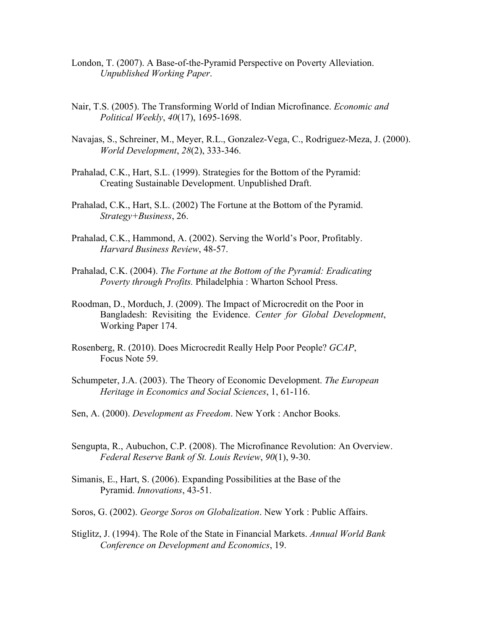- London, T. (2007). A Base-of-the-Pyramid Perspective on Poverty Alleviation. *Unpublished Working Paper*.
- Nair, T.S. (2005). The Transforming World of Indian Microfinance. *Economic and Political Weekly*, *40*(17), 1695-1698.
- Navajas, S., Schreiner, M., Meyer, R.L., Gonzalez-Vega, C., Rodriguez-Meza, J. (2000). *World Development*, *28*(2), 333-346.
- Prahalad, C.K., Hart, S.L. (1999). Strategies for the Bottom of the Pyramid: Creating Sustainable Development. Unpublished Draft.
- Prahalad, C.K., Hart, S.L. (2002) The Fortune at the Bottom of the Pyramid. *Strategy+Business*, 26.
- Prahalad, C.K., Hammond, A. (2002). Serving the World's Poor, Profitably. *Harvard Business Review*, 48-57.
- Prahalad, C.K. (2004). *The Fortune at the Bottom of the Pyramid: Eradicating Poverty through Profits.* Philadelphia : Wharton School Press.
- Roodman, D., Morduch, J. (2009). The Impact of Microcredit on the Poor in Bangladesh: Revisiting the Evidence. *Center for Global Development*, Working Paper 174.
- Rosenberg, R. (2010). Does Microcredit Really Help Poor People? *GCAP*, Focus Note 59.
- Schumpeter, J.A. (2003). The Theory of Economic Development. *The European Heritage in Economics and Social Sciences*, 1, 61-116.
- Sen, A. (2000). *Development as Freedom*. New York : Anchor Books.
- Sengupta, R., Aubuchon, C.P. (2008). The Microfinance Revolution: An Overview. *Federal Reserve Bank of St. Louis Review*, *90*(1), 9-30.
- Simanis, E., Hart, S. (2006). Expanding Possibilities at the Base of the Pyramid. *Innovations*, 43-51.
- Soros, G. (2002). *George Soros on Globalization*. New York : Public Affairs.
- Stiglitz, J. (1994). The Role of the State in Financial Markets. *Annual World Bank Conference on Development and Economics*, 19.